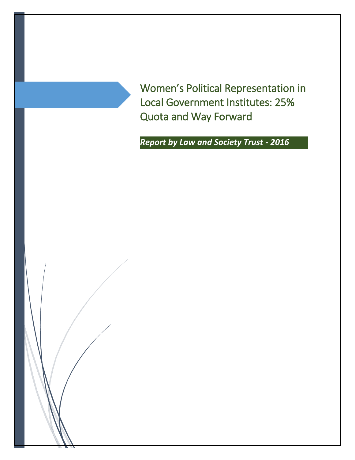Women's Political Representation in Local Government Institutes: 25% Quota and Way Forward

*Report by Law and Society Trust - 2016*

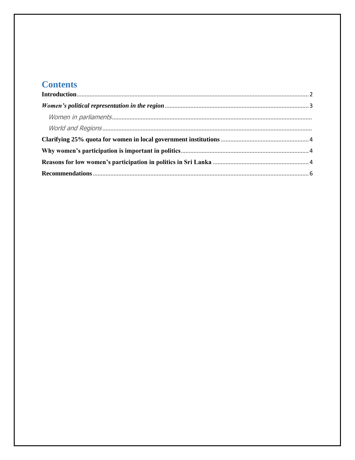# **Contents**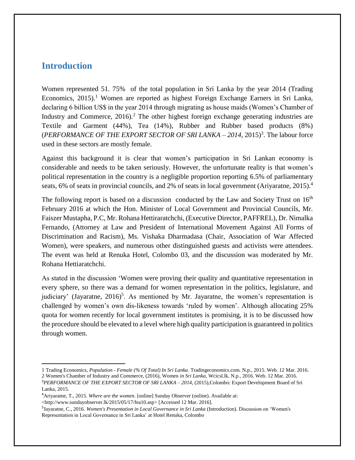#### <span id="page-2-0"></span>**Introduction**

 $\overline{\phantom{a}}$ 

Women represented 51. 75% of the total population in Sri Lanka by the year 2014 (Trading Economics,  $2015$ .<sup>1</sup> Women are reported as highest Foreign Exchange Earners in Sri Lanka, declaring 6 billion US\$ in the year 2014 through migrating as house maids (Women's Chamber of Industry and Commerce, 2016).<sup>2</sup> The other highest foreign exchange generating industries are Textile and Garment (44%), Tea (14%), Rubber and Rubber based products (8%) (*PERFORMANCE OF THE EXPORT SECTOR OF SRI LANKA – 2014*, 2015) 3 . The labour force used in these sectors are mostly female.

Against this background it is clear that women's participation in Sri Lankan economy is considerable and needs to be taken seriously. However, the unfortunate reality is that women's political representation in the country is a negligible proportion reporting 6.5% of parliamentary seats, 6% of seats in provincial councils, and 2% of seats in local government (Ariyaratne, 2015).<sup>4</sup>

The following report is based on a discussion conducted by the Law and Society Trust on  $16<sup>th</sup>$ February 2016 at which the Hon. Minister of Local Government and Provincial Councils, Mr. Faiszer Mustapha, P.C, Mr. Rohana Hettiraratchchi, (Executive Director, PAFFREL), Dr. Nimalka Fernando, (Attorney at Law and President of International Movement Against All Forms of Discrimination and Racism), Ms. Vishaka Dharmadasa (Chair, Association of War Affected Women), were speakers, and numerous other distinguished guests and activists were attendees. The event was held at Renuka Hotel, Colombo 03, and the discussion was moderated by Mr. Rohana Hettiaratchchi.

As stated in the discussion 'Women were proving their quality and quantitative representation in every sphere, so there was a demand for women representation in the politics, legislature, and judiciary' (Jayaratne,  $2016$ <sup>5</sup>. As mentioned by Mr. Jayaratne, the women's representation is challenged by women's own dis-likeness towards 'ruled by women'. Although allocating 25% quota for women recently for local government institutes is promising, it is to be discussed how the procedure should be elevated to a level where high quality participation is guaranteed in politics through women.

<sup>1</sup> Trading Economics, *Population - Female (% Of Total) In Sri Lanka*. Tradingeconomics.com. N.p., 2015. Web. 12 Mar. 2016. 2 Women's Chamber of Industry and Commerce, (2016), Women *in Sri Lanka*, Wcicsl.lk. N.p., 2016. Web. 12 Mar. 2016.

<sup>3</sup>*PERFORMANCE OF THE EXPORT SECTOR OF SRI LANKA – 2014*, (2015),Colombo: Export Development Board of Sri Lanka, 2015.

<sup>4</sup>Ariyaratne, T., 2015. *Where are the women*. [online] Sunday Observer (online). Available at:

<sup>&</sup>lt;http://www.sundayobserver.lk/2015/05/17/fea10.asp> [Accessed 12 Mar. 2016].

<sup>5</sup> Jayaratne, C., 2016. *Women's Presentation in Local Governance in Sri Lanka* (Introduction). Discussion on 'Women's Representation in Local Governance in Sri Lanka' at Hotel Renuka, Colombo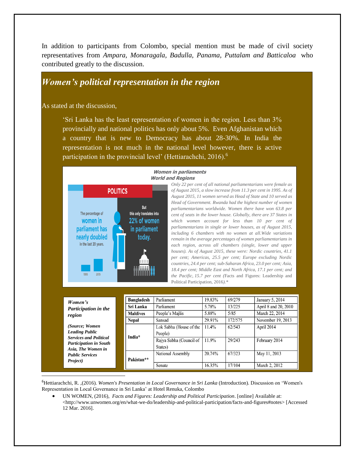In addition to participants from Colombo, special mention must be made of civil society representatives from *Ampara, Monaragala, Badulla, Panama, Puttalam and Batticaloa* who contributed greatly to the discussion.

#### <span id="page-3-0"></span>*Women's political representation in the region*

As stated at the discussion,

 $\overline{\phantom{a}}$ 

'Sri Lanka has the least representation of women in the region. Less than 3% provincially and national politics has only about 5%. Even Afghanistan which a country that is new to Democracy has about 28-30%. In India the representation is not much in the national level however, there is active participation in the provincial level' (Hettiarachchi, 2016).<sup>6</sup>



#### **Women in parliaments World and Regions**

*Only 22 per cent of all national parliamentarians were female as of August 2015, a slow increase from 11.3 per cent in 1995. As of August 2015, 11 women served as Head of State and 10 served as Head of Government. Rwanda had the highest number of women parliamentarians worldwide. Women there have won 63.8 per cent of seats in the lower house. Globally, there are 37 States in which women account for less than 10 per cent of parliamentarians in single or lower houses, as of August 2015, including 6 chambers with no women at all.Wide variations remain in the average percentages of women parliamentarians in each region, across all chambers (single, lower and upper houses). As of August 2015, these were: Nordic countries, 41.1 per cent; Americas, 25.5 per cent; Europe excluding Nordic countries, 24.4 per cent; sub-Saharan Africa, 23.0 per cent; Asia, 18.4 per cent; Middle East and North Africa, 17.1 per cent; and the Pacific, 15.7 per cent (*Facts and Figures: Leadership and Political Participation, 2016*).\** 

| Women's<br><b>Participation in the</b><br>region                                                                                                                      | <b>Bangladesh</b><br>Sri Lanka<br><b>Maldives</b> | Parliament<br>Parliament<br>People's Majlis | 19.83%<br>5.78%<br>5.88% | 69/279<br>13/225<br>5/85 | January 5, 2014<br>April 8 and 20, 2010<br>March 22, 2014 |
|-----------------------------------------------------------------------------------------------------------------------------------------------------------------------|---------------------------------------------------|---------------------------------------------|--------------------------|--------------------------|-----------------------------------------------------------|
|                                                                                                                                                                       | <b>Nepal</b>                                      | Sansad                                      | 29.91%                   | 172/575                  | November 19, 2013                                         |
| (Source; Women<br><b>Leading Public</b><br><b>Services and Political</b><br><b>Participation in South</b><br>Asia, The Women in<br><b>Public Services</b><br>Project) | India*                                            | Lok Sabha (House of the<br>People)          | 11.4%                    | 62/543                   | April 2014                                                |
|                                                                                                                                                                       |                                                   | Rajya Sabha (Council of<br>States)          | 11.9%                    | 29/243                   | February 2014                                             |
|                                                                                                                                                                       | Pakistan**                                        | National Assembly                           | 20.74%                   | 67/323                   | May 11, 2013                                              |
|                                                                                                                                                                       |                                                   | Senate                                      | 16.35%                   | 17/104                   | March 2, 2012                                             |

<sup>6</sup>Hettiarachchi, R. ,(2016). *Women's Presentation in Local Governance in Sri Lanka* (Introduction). Discussion on 'Women's Representation in Local Governance in Sri Lanka' at Hotel Renuka, Colombo

 UN WOMEN, (2016), *Facts and Figures: Leadership and Political Participation*. [online] Available at: <http://www.unwomen.org/en/what-we-do/leadership-and-political-participation/facts-and-figures#notes> [Accessed 12 Mar. 2016].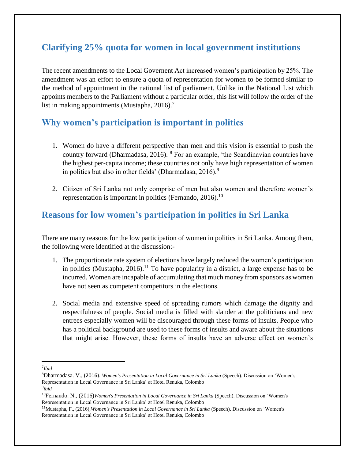# <span id="page-4-0"></span>**Clarifying 25% quota for women in local government institutions**

The recent amendments to the Local Governent Act increased women's participation by 25%. The amendment was an effort to ensure a quota of representation for women to be formed similar to the method of appointment in the national list of parliament. Unlike in the National List which appoints members to the Parliament without a particular order, this list will follow the order of the list in making appointments (Mustapha,  $2016$ ).<sup>7</sup>

## <span id="page-4-1"></span>**Why women's participation is important in politics**

- 1. Women do have a different perspective than men and this vision is essential to push the country forward (Dharmadasa, 2016). <sup>8</sup> For an example, 'the Scandinavian countries have the highest per-capita income; these countries not only have high representation of women in politics but also in other fields' (Dharmadasa, 2016).<sup>9</sup>
- 2. Citizen of Sri Lanka not only comprise of men but also women and therefore women's representation is important in politics (Fernando, 2016).<sup>10</sup>

## <span id="page-4-2"></span>**Reasons for low women's participation in politics in Sri Lanka**

There are many reasons for the low participation of women in politics in Sri Lanka. Among them, the following were identified at the discussion:-

- 1. The proportionate rate system of elections have largely reduced the women's participation in politics (Mustapha,  $2016$ ).<sup>11</sup> To have popularity in a district, a large expense has to be incurred. Women are incapable of accumulating that much money from sponsors as women have not seen as competent competitors in the elections.
- 2. Social media and extensive speed of spreading rumors which damage the dignity and respectfulness of people. Social media is filled with slander at the politicians and new entrees especially women will be discouraged through these forms of insults. People who has a political background are used to these forms of insults and aware about the situations that might arise. However, these forms of insults have an adverse effect on women's

 $\overline{\phantom{a}}$ 

<sup>7</sup> *Ibid* 

<sup>8</sup>Dharmadasa. V., (2016). *Women's Presentation in Local Governance in Sri Lanka* (Speech). Discussion on 'Women's Representation in Local Governance in Sri Lanka' at Hotel Renuka, Colombo

<sup>9</sup> *ibid*

<sup>10</sup>Fernando. N., (2016)*Women's Presentation in Local Governance in Sri Lanka* (Speech). Discussion on 'Women's Representation in Local Governance in Sri Lanka' at Hotel Renuka, Colombo

<sup>11</sup>Mustapha, F., (2016),*Women's Presentation in Local Governance in Sri Lanka* (Speech). Discussion on 'Women's Representation in Local Governance in Sri Lanka' at Hotel Renuka, Colombo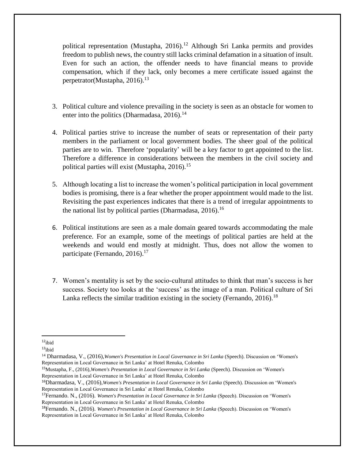political representation (Mustapha, 2016).<sup>12</sup> Although Sri Lanka permits and provides freedom to publish news, the country still lacks criminal defamation in a situation of insult. Even for such an action, the offender needs to have financial means to provide compensation, which if they lack, only becomes a mere certificate issued against the perpetrator(Mustapha, 2016).<sup>13</sup>

- 3. Political culture and violence prevailing in the society is seen as an obstacle for women to enter into the politics (Dharmadasa,  $2016$ ).<sup>14</sup>
- 4. Political parties strive to increase the number of seats or representation of their party members in the parliament or local government bodies. The sheer goal of the political parties are to win. Therefore 'popularity' will be a key factor to get appointed to the list. Therefore a difference in considerations between the members in the civil society and political parties will exist (Mustapha,  $2016$ ).<sup>15</sup>
- 5. Although locating a list to increase the women's political participation in local government bodies is promising, there is a fear whether the proper appointment would made to the list. Revisiting the past experiences indicates that there is a trend of irregular appointments to the national list by political parties (Dharmadasa, 2016).<sup>16</sup>
- 6. Political institutions are seen as a male domain geared towards accommodating the male preference. For an example, some of the meetings of political parties are held at the weekends and would end mostly at midnight. Thus, does not allow the women to participate (Fernando,  $2016$ ).<sup>17</sup>
- 7. Women's mentality is set by the socio-cultural attitudes to think that man's success is her success. Society too looks at the 'success' as the image of a man. Political culture of Sri Lanka reflects the similar tradition existing in the society (Fernando, 2016).<sup>18</sup>

l  $12$ ibid

 $13$ ibid

<sup>14</sup> Dharmadasa, V., (2016),*Women's Presentation in Local Governance in Sri Lanka* (Speech). Discussion on 'Women's Representation in Local Governance in Sri Lanka' at Hotel Renuka, Colombo

<sup>15</sup>Mustapha, F., (2016),*Women's Presentation in Local Governance in Sri Lanka* (Speech). Discussion on 'Women's Representation in Local Governance in Sri Lanka' at Hotel Renuka, Colombo

<sup>16</sup>Dharmadasa, V., (2016),*Women's Presentation in Local Governance in Sri Lanka* (Speech). Discussion on 'Women's Representation in Local Governance in Sri Lanka' at Hotel Renuka, Colombo

<sup>17</sup>Fernando. N., (2016). *Women's Presentation in Local Governance in Sri Lanka* (Speech). Discussion on 'Women's Representation in Local Governance in Sri Lanka' at Hotel Renuka, Colombo

<sup>18</sup>Fernando. N., (2016). *Women's Presentation in Local Governance in Sri Lanka* (Speech). Discussion on 'Women's Representation in Local Governance in Sri Lanka' at Hotel Renuka, Colombo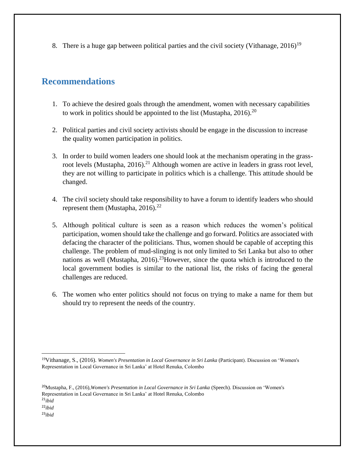8. There is a huge gap between political parties and the civil society (Vithanage,  $2016$ )<sup>19</sup>

#### <span id="page-6-0"></span>**Recommendations**

l

- 1. To achieve the desired goals through the amendment, women with necessary capabilities to work in politics should be appointed to the list (Mustapha, 2016).<sup>20</sup>
- 2. Political parties and civil society activists should be engage in the discussion to increase the quality women participation in politics.
- 3. In order to build women leaders one should look at the mechanism operating in the grassroot levels (Mustapha, 2016).<sup>21</sup> Although women are active in leaders in grass root level, they are not willing to participate in politics which is a challenge. This attitude should be changed.
- 4. The civil society should take responsibility to have a forum to identify leaders who should represent them (Mustapha,  $2016$ ).<sup>22</sup>
- 5. Although political culture is seen as a reason which reduces the women's political participation, women should take the challenge and go forward. Politics are associated with defacing the character of the politicians. Thus, women should be capable of accepting this challenge. The problem of mud-slinging is not only limited to Sri Lanka but also to other nations as well (Mustapha,  $2016$ ).<sup>23</sup>However, since the quota which is introduced to the local government bodies is similar to the national list, the risks of facing the general challenges are reduced.
- 6. The women who enter politics should not focus on trying to make a name for them but should try to represent the needs of the country.

<sup>20</sup>Mustapha, F., (2016),*Women's Presentation in Local Governance in Sri Lanka* (Speech). Discussion on 'Women's Representation in Local Governance in Sri Lanka' at Hotel Renuka, Colombo <sup>21</sup>*ibid* <sup>22</sup>*ibid* <sup>23</sup>*ibid*

<sup>19</sup>Vithanage, S., (2016). *Women's Presentation in Local Governance in Sri Lanka* (Participant). Discussion on 'Women's Representation in Local Governance in Sri Lanka' at Hotel Renuka, Colombo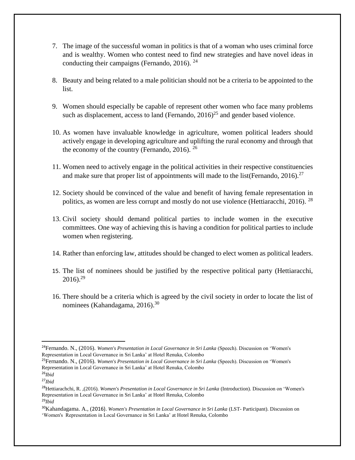- 7. The image of the successful woman in politics is that of a woman who uses criminal force and is wealthy. Women who contest need to find new strategies and have novel ideas in conducting their campaigns (Fernando, 2016).  $^{24}$
- 8. Beauty and being related to a male politician should not be a criteria to be appointed to the list.
- 9. Women should especially be capable of represent other women who face many problems such as displacement, access to land (Fernando,  $2016$ )<sup>25</sup> and gender based violence.
- 10. As women have invaluable knowledge in agriculture, women political leaders should actively engage in developing agriculture and uplifting the rural economy and through that the economy of the country (Fernando, 2016).  $^{26}$
- 11. Women need to actively engage in the political activities in their respective constituencies and make sure that proper list of appointments will made to the list(Fernando, 2016).<sup>27</sup>
- 12. Society should be convinced of the value and benefit of having female representation in politics, as women are less corrupt and mostly do not use violence (Hettiaracchi, 2016). <sup>28</sup>
- 13. Civil society should demand political parties to include women in the executive committees. One way of achieving this is having a condition for political parties to include women when registering.
- 14. Rather than enforcing law, attitudes should be changed to elect women as political leaders.
- 15. The list of nominees should be justified by the respective political party (Hettiaracchi,  $2016$ )<sup>29</sup>
- 16. There should be a criteria which is agreed by the civil society in order to locate the list of nominees (Kahandagama, 2016).<sup>30</sup>

 $\overline{a}$ 

<sup>24</sup>Fernando. N., (2016). *Women's Presentation in Local Governance in Sri Lanka* (Speech). Discussion on 'Women's Representation in Local Governance in Sri Lanka' at Hotel Renuka, Colombo

<sup>25</sup>Fernando. N., (2016). *Women's Presentation in Local Governance in Sri Lanka* (Speech). Discussion on 'Women's Representation in Local Governance in Sri Lanka' at Hotel Renuka, Colombo <sup>26</sup>*Ibid* 

<sup>27</sup>*Ibid*

<sup>28</sup>Hettiarachchi, R. ,(2016). *Women's Presentation in Local Governance in Sri Lanka* (Introduction). Discussion on 'Women's Representation in Local Governance in Sri Lanka' at Hotel Renuka, Colombo <sup>29</sup>*Ibid*

<sup>30</sup>Kahandagama. A., (2016). *Women's Presentation in Local Governance in Sri Lanka* (LST- Participant). Discussion on 'Women's Representation in Local Governance in Sri Lanka' at Hotel Renuka, Colombo